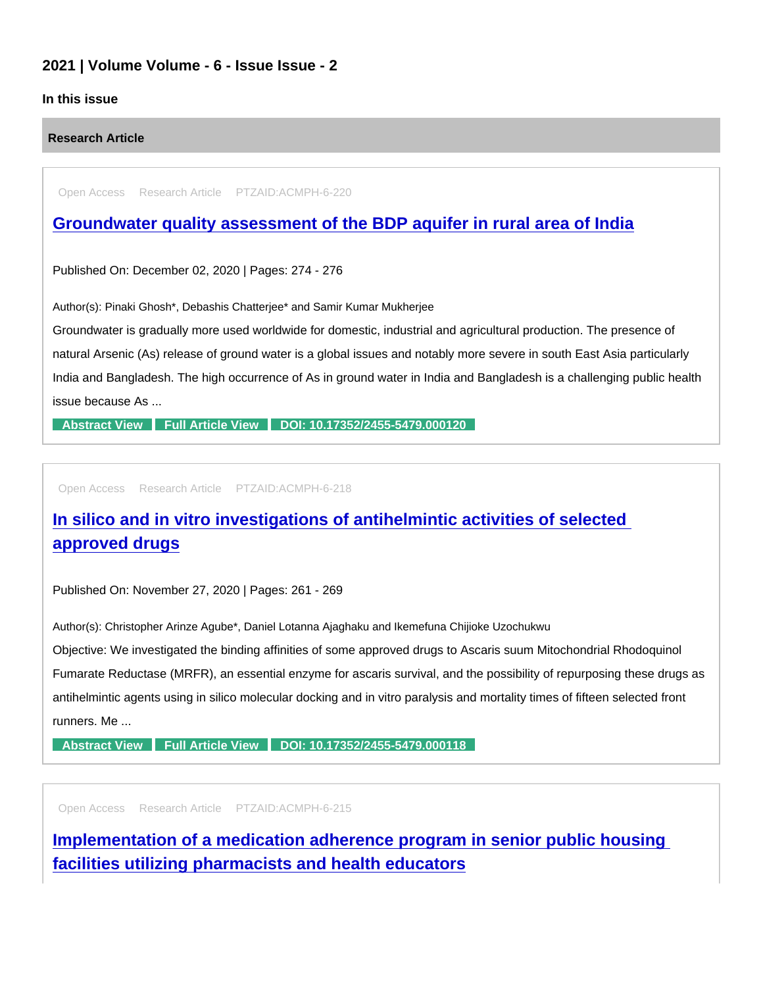### 2021 | Volume Volume - 6 - Issue Issue - 2

### In this issue

Research Article

Open Access Research Article PTZAID:ACMPH-6-220

## [Groundwater quality assessment of the BDP aquifer in rural area of India](https://www.peertechzpublications.com/articles/groundwater-quality-assessment-of-the-bdp-aquifer-in-rural-area-of-india)

Published On: December 02, 2020 | Pages: 274 - 276

Author(s): Pinaki Ghosh\*, Debashis Chatterjee\* and Samir Kumar Mukherjee

Groundwater is gradually more used worldwide for domestic, industrial and agricultural production. The presence of natural Arsenic (As) release of ground water is a global issues and notably more severe in south East Asia particularly India and Bangladesh. The high occurrence of As in ground water in India and Bangladesh is a challenging public health issue because As ...

[Abstract View](https://www.peertechzpublications.com/abstracts/groundwater-quality-assessment-of-the-bdp-aquifer-in-rural-area-of-india) [Full Article View](https://www.peertechzpublications.com/articles/groundwater-quality-assessment-of-the-bdp-aquifer-in-rural-area-of-india) [DOI: 10.17352/2455-5479.000120](http://dx.doi.org/10.17352/2455-5479.000120)

Open Access Research Article PTZAID:ACMPH-6-218

[In silico and in vitro investigations of antihelmintic activities of selected](https://www.peertechzpublications.com/articles/in-silico-and-in-vitro-investigations-of-antihelmintic-activities-of-selected-approved-drugs)  approved drugs

Published On: November 27, 2020 | Pages: 261 - 269

Author(s): Christopher Arinze Agube\*, Daniel Lotanna Ajaghaku and Ikemefuna Chijioke Uzochukwu

Objective: We investigated the binding affinities of some approved drugs to Ascaris suum Mitochondrial Rhodoquinol Fumarate Reductase (MRFR), an essential enzyme for ascaris survival, and the possibility of repurposing these drugs as antihelmintic agents using in silico molecular docking and in vitro paralysis and mortality times of fifteen selected front runners. Me ...

[Abstract View](https://www.peertechzpublications.com/abstracts/in-silico-and-in-vitro-investigations-of-antihelmintic-activities-of-selected-approved-drugs) [Full Article View](https://www.peertechzpublications.com/articles/in-silico-and-in-vitro-investigations-of-antihelmintic-activities-of-selected-approved-drugs) [DOI: 10.17352/2455-5479.000118](http://dx.doi.org/10.17352/2455-5479.000118)

Open Access Research Article PTZAID:ACMPH-6-215

[Implementation of a medication adherence program in senior public housing](https://www.peertechzpublications.com/articles/implementation-of-a-medication-adherence-program-in-senior-public-housing-facilities-utilizing-pharmacists-and-health-educators)  facilities utilizing pharmacists and health educators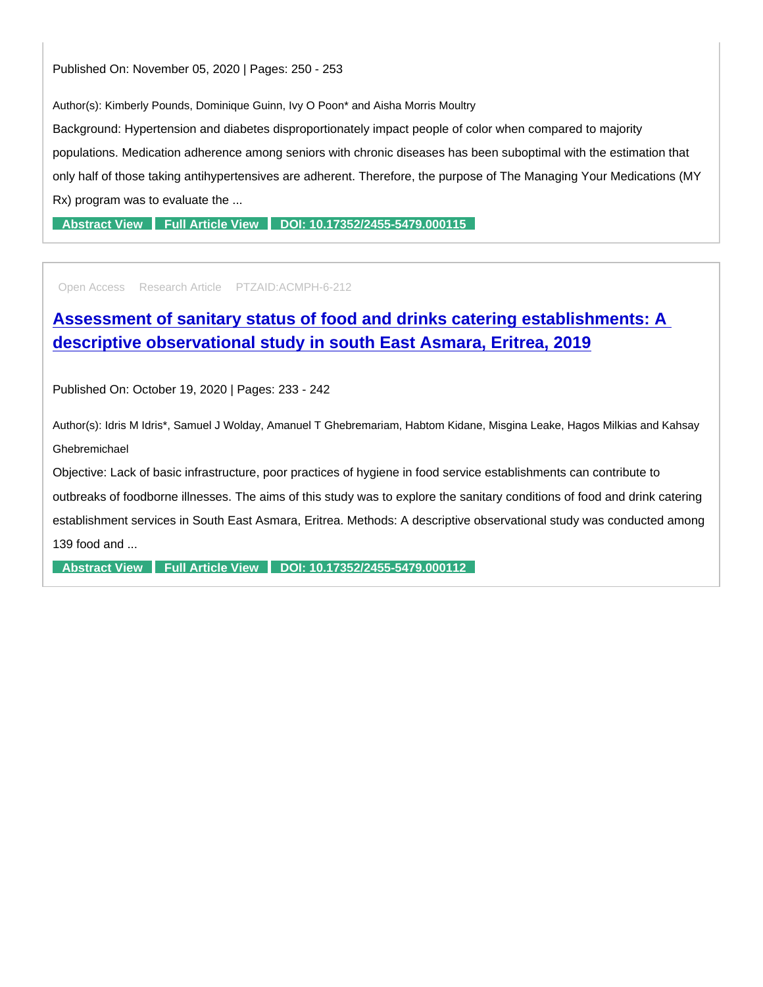Author(s): Kimberly Pounds, Dominique Guinn, Ivy O Poon\* and Aisha Morris Moultry

Background: Hypertension and diabetes disproportionately impact people of color when compared to majority populations. Medication adherence among seniors with chronic diseases has been suboptimal with the estimation that only half of those taking antihypertensives are adherent. Therefore, the purpose of The Managing Your Medications (MY Rx) program was to evaluate the ...

[Abstract View](https://www.peertechzpublications.com/abstracts/implementation-of-a-medication-adherence-program-in-senior-public-housing-facilities-utilizing-pharmacists-and-health-educators) [Full Article View](https://www.peertechzpublications.com/articles/implementation-of-a-medication-adherence-program-in-senior-public-housing-facilities-utilizing-pharmacists-and-health-educators) [DOI: 10.17352/2455-5479.000115](http://dx.doi.org/10.17352/2455-5479.000115)

Open Access Research Article PTZAID:ACMPH-6-212

[Assessment of sanitary status of food and drinks catering establishments: A](https://www.peertechzpublications.com/articles/assessment-of-sanitary-status-of-food-and-drinks-catering-establishments-a-descriptive-observational-study-in-south-east-asmara-eritrea-2019)  descriptive observational study in south East Asmara, Eritrea, 2019

Published On: October 19, 2020 | Pages: 233 - 242

Author(s): Idris M Idris\*, Samuel J Wolday, Amanuel T Ghebremariam, Habtom Kidane, Misgina Leake, Hagos Milkias and Kahsay Ghebremichael

Objective: Lack of basic infrastructure, poor practices of hygiene in food service establishments can contribute to

outbreaks of foodborne illnesses. The aims of this study was to explore the sanitary conditions of food and drink catering establishment services in South East Asmara, Eritrea. Methods: A descriptive observational study was conducted among 139 food and ...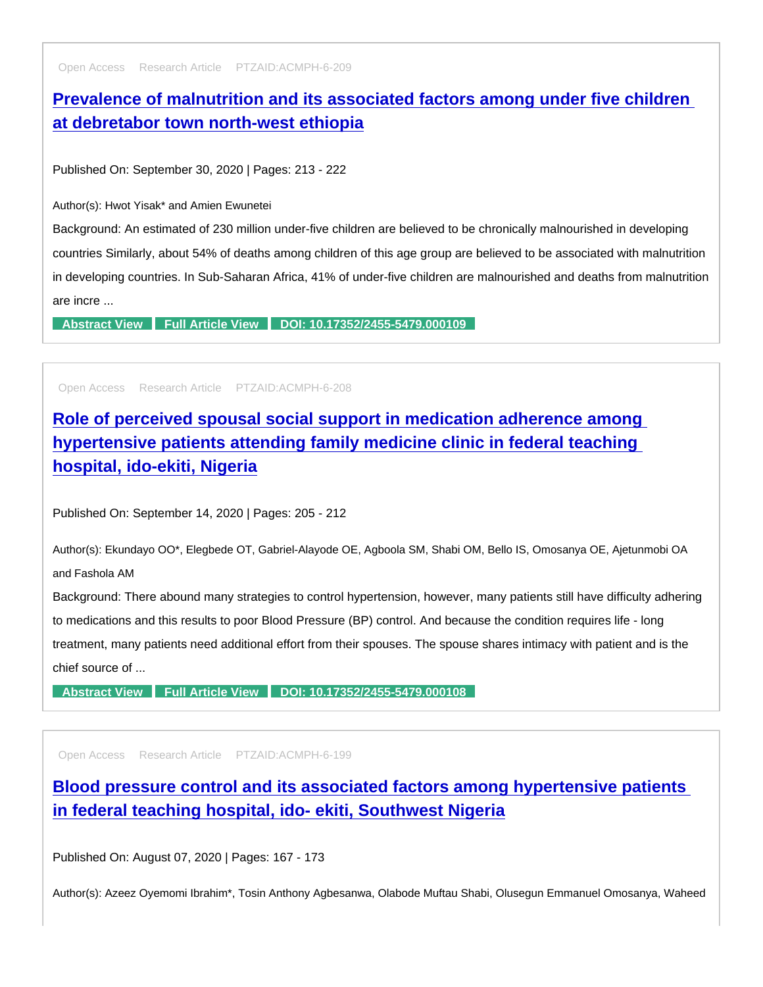Open Access Research Article PTZAID:ACMPH-6-209

# [Prevalence of malnutrition and its associated factors among under five children](https://www.peertechzpublications.com/articles/prevalence-of-malnutrition-and-its-associated-factors-among-under-five-children-at-debretabor-town-north-west-ethiopia)  at debretabor town north-west ethiopia

Published On: September 30, 2020 | Pages: 213 - 222

Author(s): Hwot Yisak\* and Amien Ewunetei

Background: An estimated of 230 million under-five children are believed to be chronically malnourished in developing countries Similarly, about 54% of deaths among children of this age group are believed to be associated with malnutrition in developing countries. In Sub-Saharan Africa, 41% of under-five children are malnourished and deaths from malnutrition are incre ...

[Abstract View](https://www.peertechzpublications.com/abstracts/prevalence-of-malnutrition-and-its-associated-factors-among-under-five-children-at-debretabor-town-north-west-ethiopia) [Full Article View](https://www.peertechzpublications.com/articles/prevalence-of-malnutrition-and-its-associated-factors-among-under-five-children-at-debretabor-town-north-west-ethiopia) [DOI: 10.17352/2455-5479.000109](http://dx.doi.org/10.17352/2455-5479.000109)

Open Access Research Article PTZAID:ACMPH-6-208

[Role of perceived spousal social support in medication adherence among](https://www.peertechzpublications.com/articles/role-of-perceived-spousal-social-support-in-medication-adherence-among-hypertensive-patients-attending-family-medicine-clinic-in-federal-teaching-hospital-ido-ekiti-nigeria)  hypertensive patients attending family medicine clinic in federal teaching hospital, ido-ekiti, Nigeria

Published On: September 14, 2020 | Pages: 205 - 212

Author(s): Ekundayo OO\*, Elegbede OT, Gabriel-Alayode OE, Agboola SM, Shabi OM, Bello IS, Omosanya OE, Ajetunmobi OA and Fashola AM

Background: There abound many strategies to control hypertension, however, many patients still have difficulty adhering to medications and this results to poor Blood Pressure (BP) control. And because the condition requires life - long treatment, many patients need additional effort from their spouses. The spouse shares intimacy with patient and is the chief source of ...

[Abstract View](https://www.peertechzpublications.com/abstracts/role-of-perceived-spousal-social-support-in-medication-adherence-among-hypertensive-patients-attending-family-medicine-clinic-in-federal-teaching-hospital-ido-ekiti-nigeria) [Full Article View](https://www.peertechzpublications.com/articles/role-of-perceived-spousal-social-support-in-medication-adherence-among-hypertensive-patients-attending-family-medicine-clinic-in-federal-teaching-hospital-ido-ekiti-nigeria) [DOI: 10.17352/2455-5479.000108](http://dx.doi.org/10.17352/2455-5479.000108)

Open Access Research Article PTZAID:ACMPH-6-199

[Blood pressure control and its associated factors among hypertensive patients](https://www.peertechzpublications.com/articles/blood-pressure-control-and-its-associated-factors-among-hypertensive-patients-in-federal-teaching-hospital-ido-ekiti-southwest-nigeria)  in federal teaching hospital, ido- ekiti, Southwest Nigeria

Published On: August 07, 2020 | Pages: 167 - 173

Author(s): Azeez Oyemomi Ibrahim\*, Tosin Anthony Agbesanwa, Olabode Muftau Shabi, Olusegun Emmanuel Omosanya, Waheed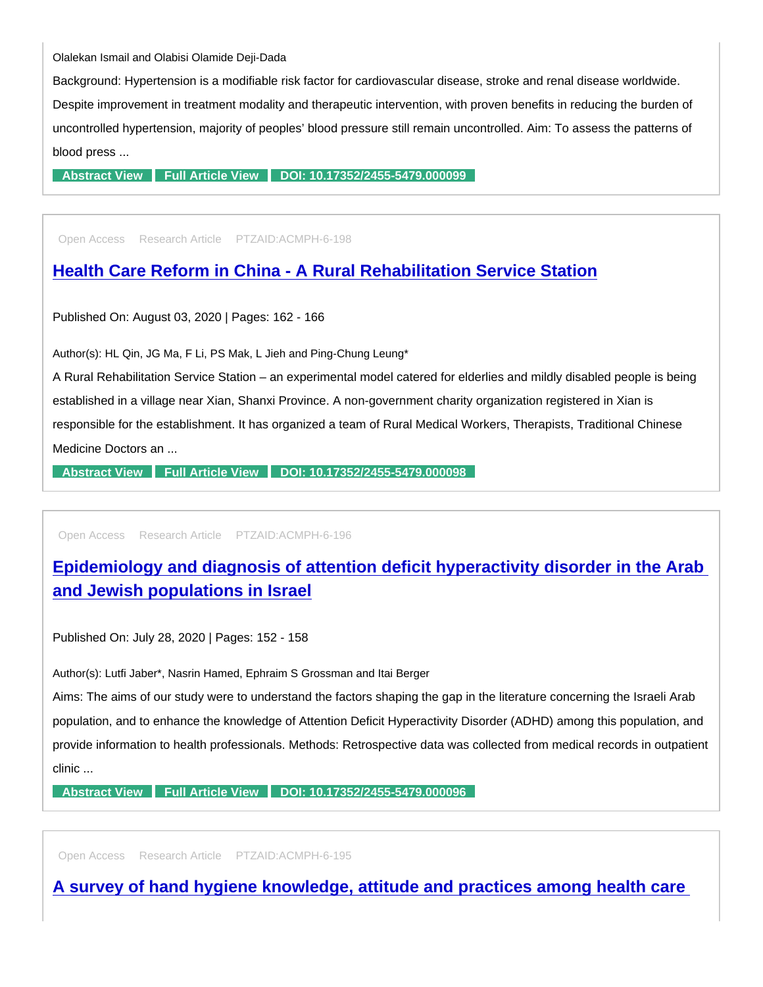Olalekan Ismail and Olabisi Olamide Deji-Dada

Background: Hypertension is a modifiable risk factor for cardiovascular disease, stroke and renal disease worldwide. Despite improvement in treatment modality and therapeutic intervention, with proven benefits in reducing the burden of uncontrolled hypertension, majority of peoples' blood pressure still remain uncontrolled. Aim: To assess the patterns of blood press ...

[Abstract View](https://www.peertechzpublications.com/abstracts/blood-pressure-control-and-its-associated-factors-among-hypertensive-patients-in-federal-teaching-hospital-ido-ekiti-southwest-nigeria) [Full Article View](https://www.peertechzpublications.com/articles/blood-pressure-control-and-its-associated-factors-among-hypertensive-patients-in-federal-teaching-hospital-ido-ekiti-southwest-nigeria) [DOI: 10.17352/2455-5479.000099](http://dx.doi.org/10.17352/2455-5479.000099)

Open Access Research Article PTZAID:ACMPH-6-198

### [Health Care Reform in China - A Rural Rehabilitation Service Station](https://www.peertechzpublications.com/articles/health-care-reform-in-china-a-rural-rehabilitation-service-station)

Published On: August 03, 2020 | Pages: 162 - 166

Author(s): HL Qin, JG Ma, F Li, PS Mak, L Jieh and Ping-Chung Leung\*

A Rural Rehabilitation Service Station – an experimental model catered for elderlies and mildly disabled people is being established in a village near Xian, Shanxi Province. A non-government charity organization registered in Xian is responsible for the establishment. It has organized a team of Rural Medical Workers, Therapists, Traditional Chinese Medicine Doctors an ...

[Abstract View](https://www.peertechzpublications.com/abstracts/health-care-reform-in-china-a-rural-rehabilitation-service-station) [Full Article View](https://www.peertechzpublications.com/articles/health-care-reform-in-china-a-rural-rehabilitation-service-station) [DOI: 10.17352/2455-5479.000098](http://dx.doi.org/10.17352/2455-5479.000098)

Open Access Research Article PTZAID:ACMPH-6-196

[Epidemiology and diagnosis of attention deficit hyperactivity disorder in the Arab](https://www.peertechzpublications.com/articles/epidemiology-and-diagnosis-of-attention-deficit-hyperactivity-disorder-in-the-arab-and-jewish-populations-in-israel)  and Jewish populations in Israel

Published On: July 28, 2020 | Pages: 152 - 158

Author(s): Lutfi Jaber\*, Nasrin Hamed, Ephraim S Grossman and Itai Berger

Aims: The aims of our study were to understand the factors shaping the gap in the literature concerning the Israeli Arab population, and to enhance the knowledge of Attention Deficit Hyperactivity Disorder (ADHD) among this population, and provide information to health professionals. Methods: Retrospective data was collected from medical records in outpatient clinic ...

[Abstract View](https://www.peertechzpublications.com/abstracts/epidemiology-and-diagnosis-of-attention-deficit-hyperactivity-disorder-in-the-arab-and-jewish-populations-in-israel) [Full Article View](https://www.peertechzpublications.com/articles/epidemiology-and-diagnosis-of-attention-deficit-hyperactivity-disorder-in-the-arab-and-jewish-populations-in-israel) [DOI: 10.17352/2455-5479.000096](http://dx.doi.org/10.17352/2455-5479.000096)

Open Access Research Article PTZAID:ACMPH-6-195

[A survey of hand hygiene knowledge, attitude and practices among health care](https://www.peertechzpublications.com/articles/a-survey-of-hand-hygiene-knowledge-attitude-and-practices-among-health-care-workers-in-a-tertiary-hospital-southwestern-nigeria)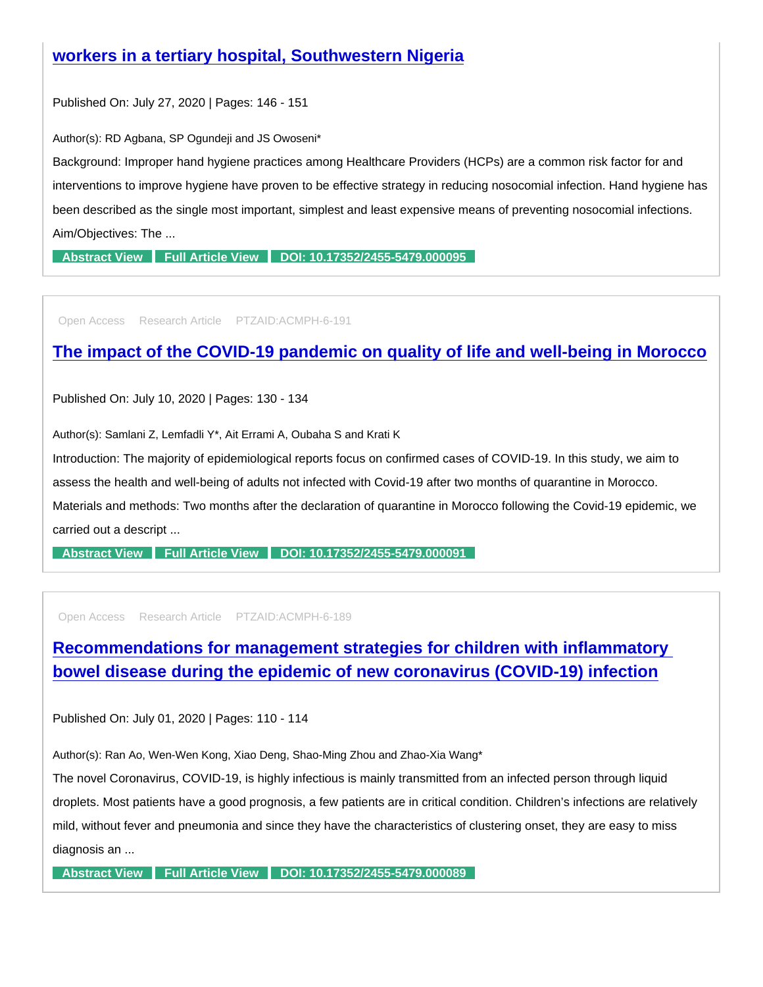Published On: July 27, 2020 | Pages: 146 - 151

Author(s): RD Agbana, SP Ogundeji and JS Owoseni\*

Background: Improper hand hygiene practices among Healthcare Providers (HCPs) are a common risk factor for and interventions to improve hygiene have proven to be effective strategy in reducing nosocomial infection. Hand hygiene has been described as the single most important, simplest and least expensive means of preventing nosocomial infections. Aim/Objectives: The ...

[Abstract View](https://www.peertechzpublications.com/abstracts/a-survey-of-hand-hygiene-knowledge-attitude-and-practices-among-health-care-workers-in-a-tertiary-hospital-southwestern-nigeria) [Full Article View](https://www.peertechzpublications.com/articles/a-survey-of-hand-hygiene-knowledge-attitude-and-practices-among-health-care-workers-in-a-tertiary-hospital-southwestern-nigeria) [DOI: 10.17352/2455-5479.000095](http://dx.doi.org/10.17352/2455-5479.000095)

Open Access Research Article PTZAID:ACMPH-6-191

## [The impact of the COVID-19 pandemic on quality of life and well-being in Morocco](https://www.peertechzpublications.com/articles/the-impact-of-the-covid-19-pandemic-on-quality-of-life-and-well-being-in-morocco)

Published On: July 10, 2020 | Pages: 130 - 134

Author(s): Samlani Z, Lemfadli Y\*, Ait Errami A, Oubaha S and Krati K

Introduction: The majority of epidemiological reports focus on confirmed cases of COVID-19. In this study, we aim to

assess the health and well-being of adults not infected with Covid-19 after two months of quarantine in Morocco.

Materials and methods: Two months after the declaration of quarantine in Morocco following the Covid-19 epidemic, we carried out a descript ...

[Abstract View](https://www.peertechzpublications.com/abstracts/the-impact-of-the-covid-19-pandemic-on-quality-of-life-and-well-being-in-morocco) [Full Article View](https://www.peertechzpublications.com/articles/the-impact-of-the-covid-19-pandemic-on-quality-of-life-and-well-being-in-morocco) [DOI: 10.17352/2455-5479.000091](http://dx.doi.org/10.17352/2455-5479.000091)

Open Access Research Article PTZAID:ACMPH-6-189

[Recommendations for management strategies for children with inflammatory](https://www.peertechzpublications.com/articles/recommendations-for-management-strategies-for-children-with-inflammatory-bowel-disease-during-the-epidemic-of-new-coronavirus-covid-19-infection)  bowel disease during the epidemic of new coronavirus (COVID-19) infection

Published On: July 01, 2020 | Pages: 110 - 114

Author(s): Ran Ao, Wen-Wen Kong, Xiao Deng, Shao-Ming Zhou and Zhao-Xia Wang\*

The novel Coronavirus, COVID-19, is highly infectious is mainly transmitted from an infected person through liquid droplets. Most patients have a good prognosis, a few patients are in critical condition. Children's infections are relatively mild, without fever and pneumonia and since they have the characteristics of clustering onset, they are easy to miss diagnosis an ...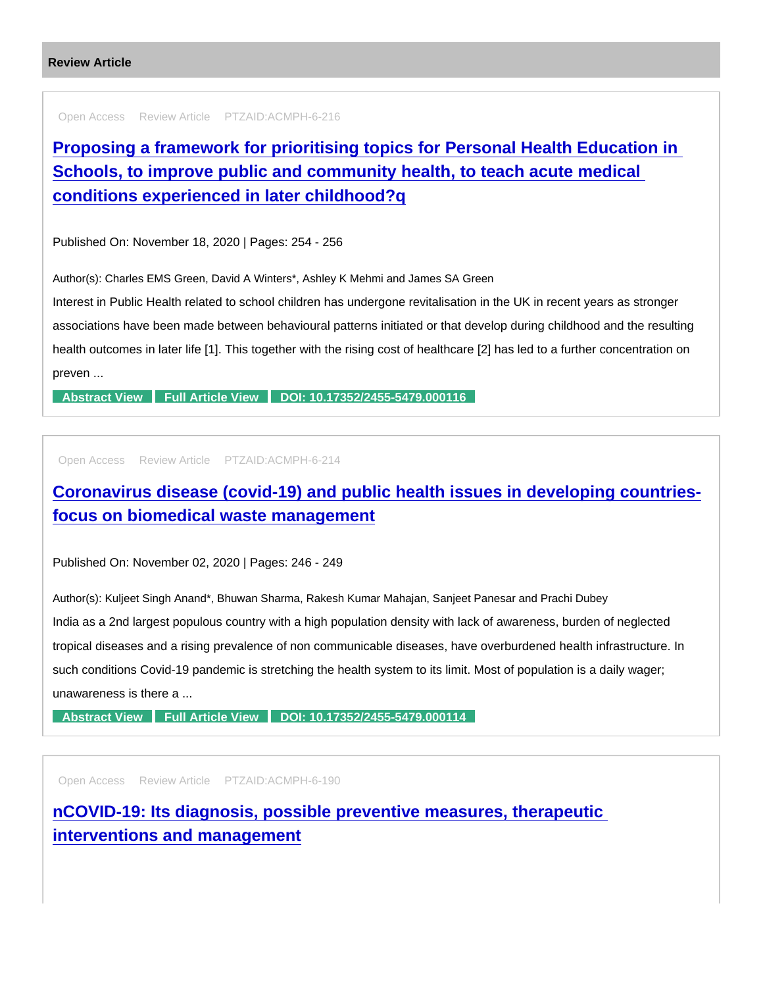```
Review Article
```
Open Access Review Article PTZAID:ACMPH-6-216

[Proposing a framework for prioritising topics for Personal Health Education in](https://www.peertechzpublications.com/articles/proposing-a-framework-for-prioritising-topics-for-personal-health-education-in-schools-to-improve-public-and-community-health-to-teach-acute-medical-conditions-experienced-in-later-childhood-q)  Schools, to improve public and community health, to teach acute medical conditions experienced in later childhood?q

Published On: November 18, 2020 | Pages: 254 - 256

Author(s): Charles EMS Green, David A Winters\*, Ashley K Mehmi and James SA Green

Interest in Public Health related to school children has undergone revitalisation in the UK in recent years as stronger associations have been made between behavioural patterns initiated or that develop during childhood and the resulting health outcomes in later life [1]. This together with the rising cost of healthcare [2] has led to a further concentration on preven ...

[Abstract View](https://www.peertechzpublications.com/abstracts/proposing-a-framework-for-prioritising-topics-for-personal-health-education-in-schools-to-improve-public-and-community-health-to-teach-acute-medical-conditions-experienced-in-later-childhood-q) [Full Article View](https://www.peertechzpublications.com/articles/proposing-a-framework-for-prioritising-topics-for-personal-health-education-in-schools-to-improve-public-and-community-health-to-teach-acute-medical-conditions-experienced-in-later-childhood-q) [DOI: 10.17352/2455-5479.000116](http://dx.doi.org/10.17352/2455-5479.000116)

Open Access Review Article PTZAID:ACMPH-6-214

[Coronavirus disease \(covid-19\) and public health issues in developing countries](https://www.peertechzpublications.com/articles/coronavirus-disease-covid-19-and-public-health-issues-in-developing-countries-focus-on-biomedical-waste-management)focus on biomedical waste management

Published On: November 02, 2020 | Pages: 246 - 249

Author(s): Kuljeet Singh Anand\*, Bhuwan Sharma, Rakesh Kumar Mahajan, Sanjeet Panesar and Prachi Dubey India as a 2nd largest populous country with a high population density with lack of awareness, burden of neglected tropical diseases and a rising prevalence of non communicable diseases, have overburdened health infrastructure. In such conditions Covid-19 pandemic is stretching the health system to its limit. Most of population is a daily wager; unawareness is there a ...

[Abstract View](https://www.peertechzpublications.com/abstracts/coronavirus-disease-covid-19-and-public-health-issues-in-developing-countries-focus-on-biomedical-waste-management) [Full Article View](https://www.peertechzpublications.com/articles/coronavirus-disease-covid-19-and-public-health-issues-in-developing-countries-focus-on-biomedical-waste-management) [DOI: 10.17352/2455-5479.000114](http://dx.doi.org/10.17352/2455-5479.000114)

Open Access Review Article PTZAID:ACMPH-6-190

[nCOVID-19: Its diagnosis, possible preventive measures, therapeutic](https://www.peertechzpublications.com/articles/ncovid-19-its-diagnosis-possible-preventive-measures-therapeutic-interventions-and-management)  interventions and management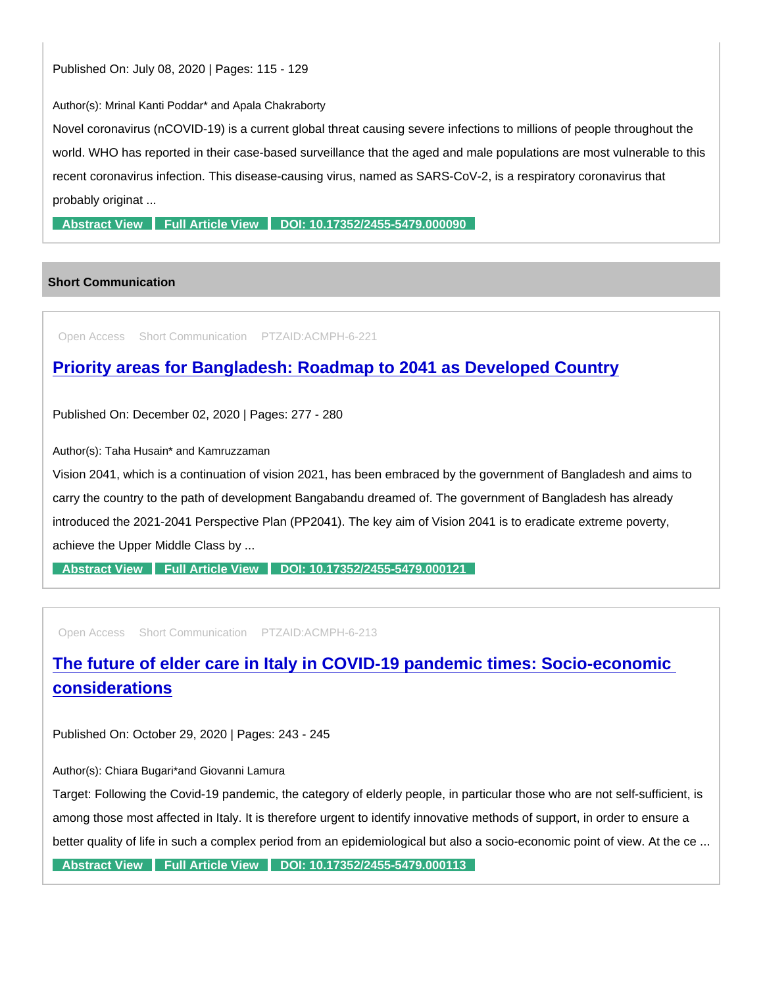Author(s): Mrinal Kanti Poddar\* and Apala Chakraborty

Novel coronavirus (nCOVID-19) is a current global threat causing severe infections to millions of people throughout the world. WHO has reported in their case-based surveillance that the aged and male populations are most vulnerable to this recent coronavirus infection. This disease-causing virus, named as SARS-CoV-2, is a respiratory coronavirus that probably originat ...

[Abstract View](https://www.peertechzpublications.com/abstracts/ncovid-19-its-diagnosis-possible-preventive-measures-therapeutic-interventions-and-management) [Full Article View](https://www.peertechzpublications.com/articles/ncovid-19-its-diagnosis-possible-preventive-measures-therapeutic-interventions-and-management) [DOI: 10.17352/2455-5479.000090](http://dx.doi.org/10.17352/2455-5479.000090)

### Short Communication

Open Access Short Communication PTZAID:ACMPH-6-221

### [Priority areas for Bangladesh: Roadmap to 2041 as Developed Country](https://www.peertechzpublications.com/articles/priority-areas-for-bangladesh-roadmap-to-2041-as-developed-country)

Published On: December 02, 2020 | Pages: 277 - 280

Author(s): Taha Husain\* and Kamruzzaman

Vision 2041, which is a continuation of vision 2021, has been embraced by the government of Bangladesh and aims to carry the country to the path of development Bangabandu dreamed of. The government of Bangladesh has already introduced the 2021-2041 Perspective Plan (PP2041). The key aim of Vision 2041 is to eradicate extreme poverty, achieve the Upper Middle Class by ...

[Abstract View](https://www.peertechzpublications.com/abstracts/priority-areas-for-bangladesh-roadmap-to-2041-as-developed-country) [Full Article View](https://www.peertechzpublications.com/articles/priority-areas-for-bangladesh-roadmap-to-2041-as-developed-country) [DOI: 10.17352/2455-5479.000121](http://dx.doi.org/10.17352/2455-5479.000121)

Open Access Short Communication PTZAID:ACMPH-6-213

## [The future of elder care in Italy in COVID-19 pandemic times: Socio-economic](https://www.peertechzpublications.com/articles/the-future-of-elder-care-in-italy-in-covid-19-pandemic-times-socio-economic-considerations)  considerations

Published On: October 29, 2020 | Pages: 243 - 245

Author(s): Chiara Bugari\*and Giovanni Lamura

Target: Following the Covid-19 pandemic, the category of elderly people, in particular those who are not self-sufficient, is among those most affected in Italy. It is therefore urgent to identify innovative methods of support, in order to ensure a better quality of life in such a complex period from an epidemiological but also a socio-economic point of view. At the ce ...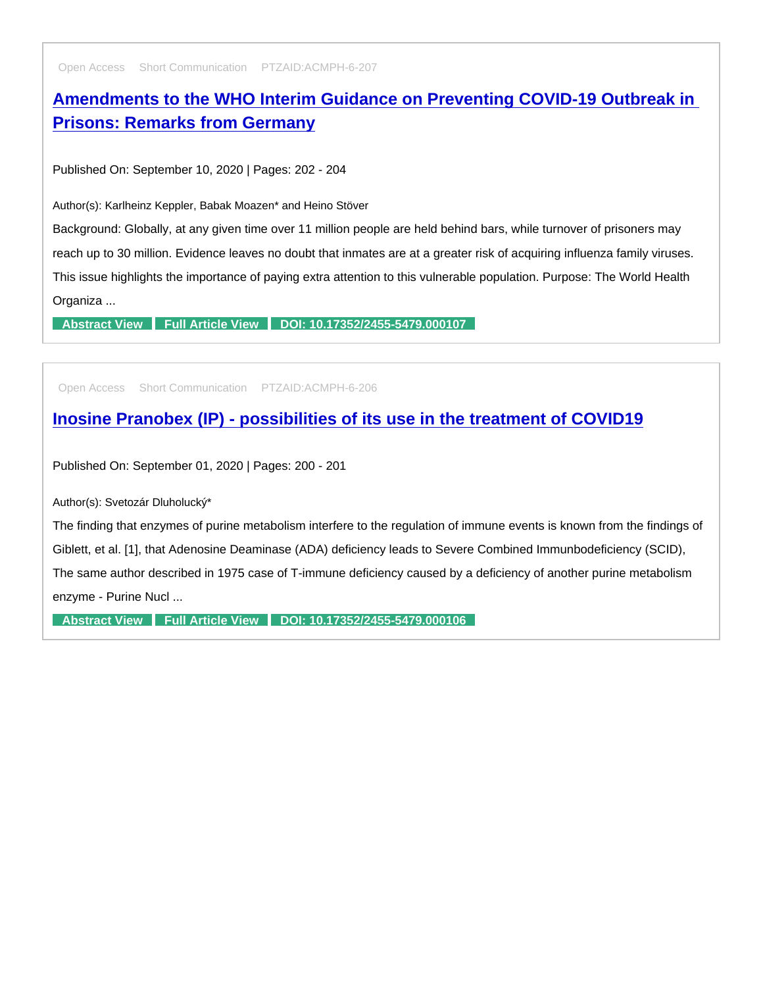Open Access Short Communication PTZAID:ACMPH-6-207

# [Amendments to the WHO Interim Guidance on Preventing COVID-19 Outbreak in](https://www.peertechzpublications.com/articles/amendments-to-the-who-interim-guidance-on-preventing-covid-19-outbreak-in-prisons-remarks-from-germany)  Prisons: Remarks from Germany

Published On: September 10, 2020 | Pages: 202 - 204

Author(s): Karlheinz Keppler, Babak Moazen\* and Heino Stöver

Background: Globally, at any given time over 11 million people are held behind bars, while turnover of prisoners may reach up to 30 million. Evidence leaves no doubt that inmates are at a greater risk of acquiring influenza family viruses. This issue highlights the importance of paying extra attention to this vulnerable population. Purpose: The World Health Organiza ...

[Abstract View](https://www.peertechzpublications.com/abstracts/amendments-to-the-who-interim-guidance-on-preventing-covid-19-outbreak-in-prisons-remarks-from-germany) [Full Article View](https://www.peertechzpublications.com/articles/amendments-to-the-who-interim-guidance-on-preventing-covid-19-outbreak-in-prisons-remarks-from-germany) [DOI: 10.17352/2455-5479.000107](http://dx.doi.org/10.17352/2455-5479.000107)

Open Access Short Communication PTZAID:ACMPH-6-206

[Inosine Pranobex \(IP\) - possibilities of its use in the treatment of COVID19](https://www.peertechzpublications.com/articles/inosine-pranobex-ip-possibilities-of-its-use-in-the-treatment-of-covid19)

Published On: September 01, 2020 | Pages: 200 - 201

Author(s): Svetozár Dluholucký\*

The finding that enzymes of purine metabolism interfere to the regulation of immune events is known from the findings of Giblett, et al. [1], that Adenosine Deaminase (ADA) deficiency leads to Severe Combined Immunbodeficiency (SCID), The same author described in 1975 case of T-immune deficiency caused by a deficiency of another purine metabolism enzyme - Purine Nucl ...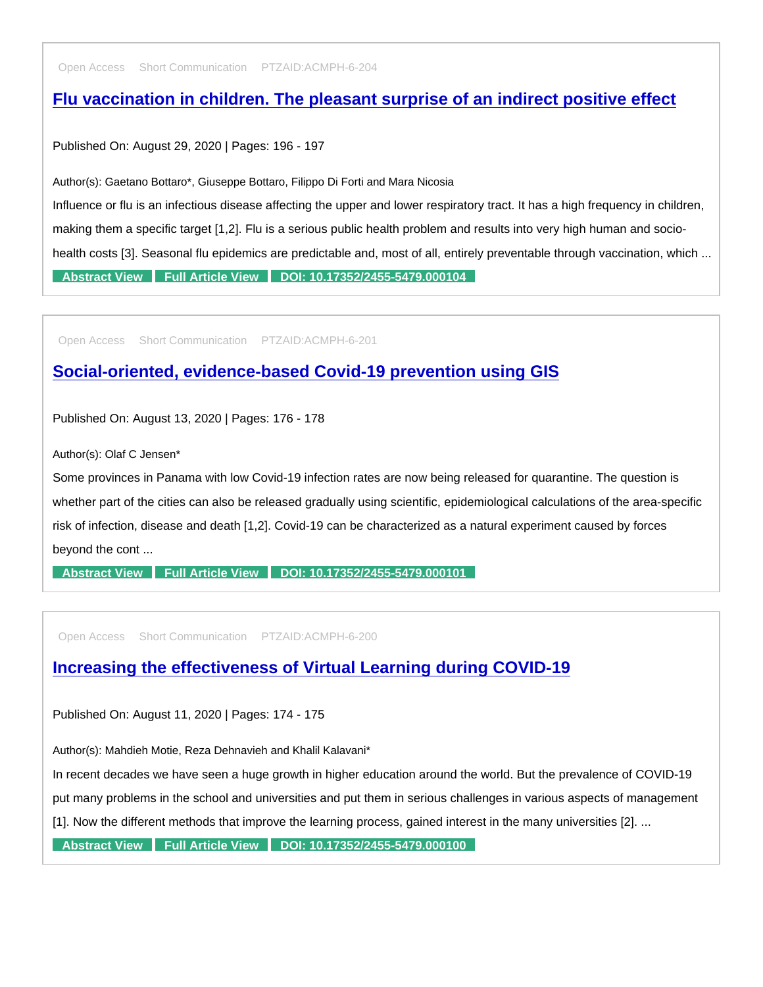Open Access Short Communication PTZAID:ACMPH-6-204

## [Flu vaccination in children. The pleasant surprise of an indirect positive effect](https://www.peertechzpublications.com/articles/flu-vaccination-in-children-the-pleasant-surprise-of-an-indirect-positive-effect)

Published On: August 29, 2020 | Pages: 196 - 197

Author(s): Gaetano Bottaro\*, Giuseppe Bottaro, Filippo Di Forti and Mara Nicosia

Influence or flu is an infectious disease affecting the upper and lower respiratory tract. It has a high frequency in children, making them a specific target [1,2]. Flu is a serious public health problem and results into very high human and sociohealth costs [3]. Seasonal flu epidemics are predictable and, most of all, entirely preventable through vaccination, which ... [Abstract View](https://www.peertechzpublications.com/abstracts/flu-vaccination-in-children-the-pleasant-surprise-of-an-indirect-positive-effect) [Full Article View](https://www.peertechzpublications.com/articles/flu-vaccination-in-children-the-pleasant-surprise-of-an-indirect-positive-effect) [DOI: 10.17352/2455-5479.000104](http://dx.doi.org/10.17352/2455-5479.000104)

Open Access Short Communication PTZAID:ACMPH-6-201

[Social-oriented, evidence-based Covid-19 prevention using GIS](https://www.peertechzpublications.com/articles/social-oriented-evidence-based-covid-19-prevention-using-gis)

Published On: August 13, 2020 | Pages: 176 - 178

Author(s): Olaf C Jensen\*

Some provinces in Panama with low Covid-19 infection rates are now being released for quarantine. The question is whether part of the cities can also be released gradually using scientific, epidemiological calculations of the area-specific risk of infection, disease and death [1,2]. Covid-19 can be characterized as a natural experiment caused by forces beyond the cont ...

[Abstract View](https://www.peertechzpublications.com/abstracts/social-oriented-evidence-based-covid-19-prevention-using-gis) [Full Article View](https://www.peertechzpublications.com/articles/social-oriented-evidence-based-covid-19-prevention-using-gis) [DOI: 10.17352/2455-5479.000101](http://dx.doi.org/10.17352/2455-5479.000101)

Open Access Short Communication PTZAID:ACMPH-6-200

[Increasing the effectiveness of Virtual Learning during COVID-19](https://www.peertechzpublications.com/articles/increasing-the-effectiveness-of-virtual-learning-during-covid-19)

Published On: August 11, 2020 | Pages: 174 - 175

Author(s): Mahdieh Motie, Reza Dehnavieh and Khalil Kalavani\*

In recent decades we have seen a huge growth in higher education around the world. But the prevalence of COVID-19

put many problems in the school and universities and put them in serious challenges in various aspects of management

[1]. Now the different methods that improve the learning process, gained interest in the many universities [2]. ...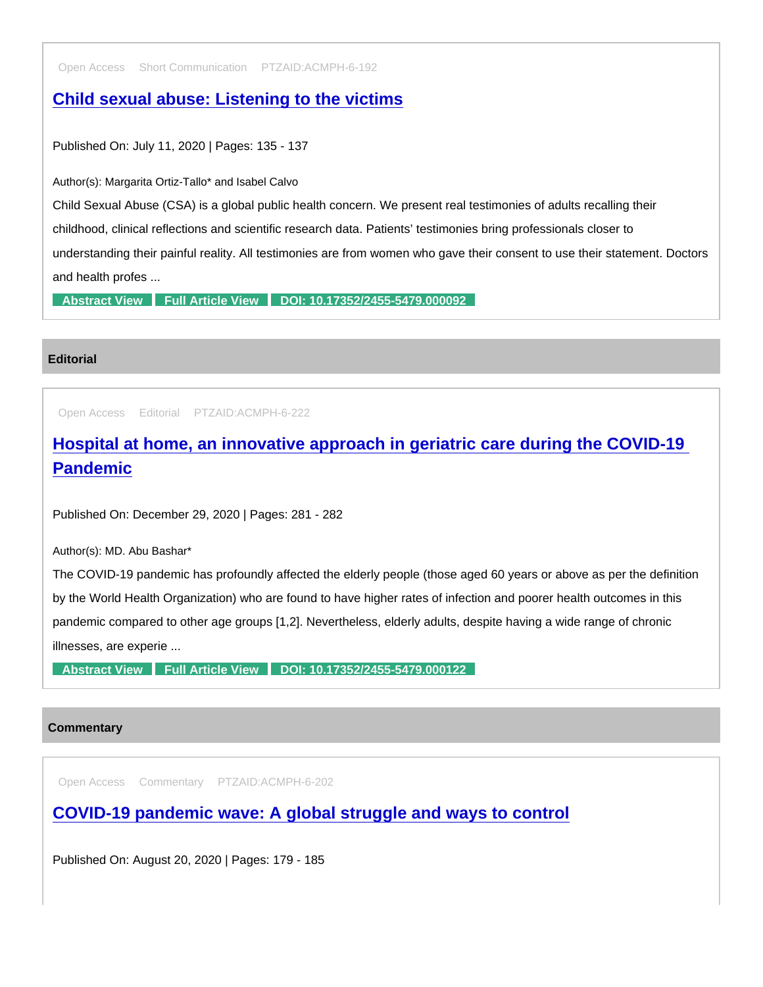Open Access Short Communication PTZAID:ACMPH-6-192

[Child sexual abuse: Listening to the victims](https://www.peertechzpublications.com/articles/child-sexual-abuse-listening-to-the-victims)

Published On: July 11, 2020 | Pages: 135 - 137

Author(s): Margarita Ortiz-Tallo\* and Isabel Calvo

Child Sexual Abuse (CSA) is a global public health concern. We present real testimonies of adults recalling their childhood, clinical reflections and scientific research data. Patients' testimonies bring professionals closer to understanding their painful reality. All testimonies are from women who gave their consent to use their statement. Doctors and health profes ...

[Abstract View](https://www.peertechzpublications.com/abstracts/child-sexual-abuse-listening-to-the-victims) [Full Article View](https://www.peertechzpublications.com/articles/child-sexual-abuse-listening-to-the-victims) [DOI: 10.17352/2455-5479.000092](http://dx.doi.org/10.17352/2455-5479.000092)

### **Editorial**

Open Access Editorial PTZAID:ACMPH-6-222

[Hospital at home, an innovative approach in geriatric care during the COVID-19](https://www.peertechzpublications.com/articles/hospital-at-home-an-innovative-approach-in-geriatric-care-during-the-covid-19-pandemic)  **Pandemic** 

Published On: December 29, 2020 | Pages: 281 - 282

Author(s): MD. Abu Bashar\*

The COVID-19 pandemic has profoundly affected the elderly people (those aged 60 years or above as per the definition by the World Health Organization) who are found to have higher rates of infection and poorer health outcomes in this pandemic compared to other age groups [1,2]. Nevertheless, elderly adults, despite having a wide range of chronic illnesses, are experie ...

[Abstract View](https://www.peertechzpublications.com/abstracts/hospital-at-home-an-innovative-approach-in-geriatric-care-during-the-covid-19-pandemic) [Full Article View](https://www.peertechzpublications.com/articles/hospital-at-home-an-innovative-approach-in-geriatric-care-during-the-covid-19-pandemic) [DOI: 10.17352/2455-5479.000122](http://dx.doi.org/10.17352/2455-5479.000122)

### **Commentary**

Open Access Commentary PTZAID:ACMPH-6-202

[COVID-19 pandemic wave: A global struggle and ways to control](https://www.peertechzpublications.com/articles/covid-19-pandemic-wave-a-global-struggle-and-ways-to-control)

Published On: August 20, 2020 | Pages: 179 - 185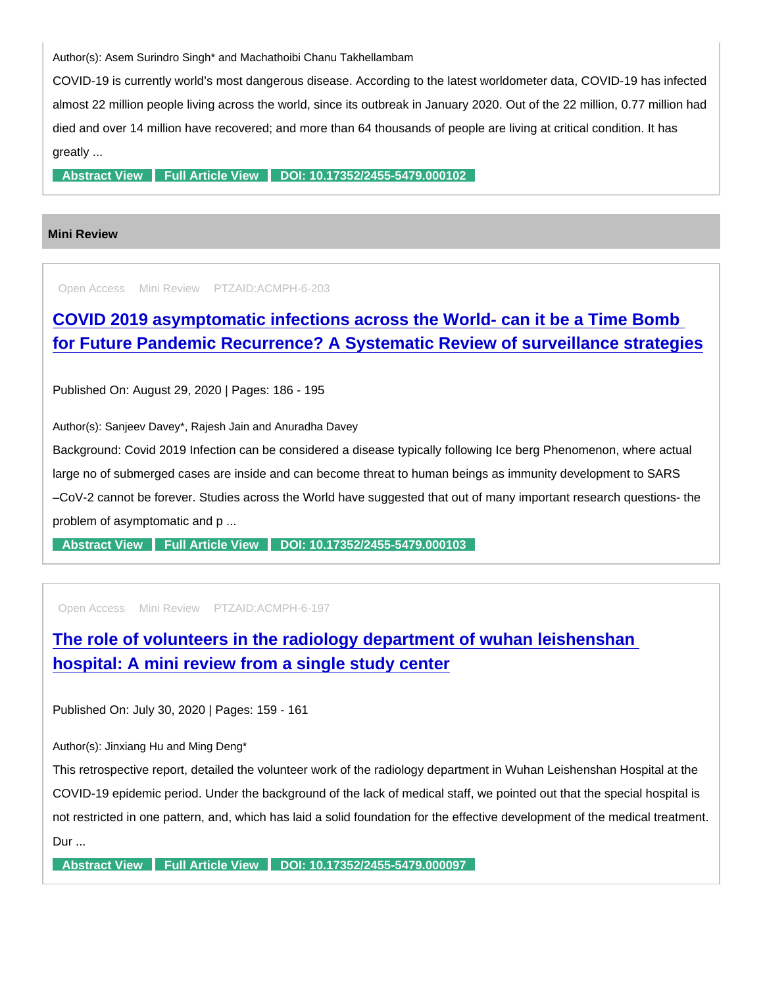Author(s): Asem Surindro Singh\* and Machathoibi Chanu Takhellambam

COVID-19 is currently world's most dangerous disease. According to the latest worldometer data, COVID-19 has infected almost 22 million people living across the world, since its outbreak in January 2020. Out of the 22 million, 0.77 million had died and over 14 million have recovered; and more than 64 thousands of people are living at critical condition. It has greatly ...

[Abstract View](https://www.peertechzpublications.com/abstracts/covid-19-pandemic-wave-a-global-struggle-and-ways-to-control) [Full Article View](https://www.peertechzpublications.com/articles/covid-19-pandemic-wave-a-global-struggle-and-ways-to-control) [DOI: 10.17352/2455-5479.000102](http://dx.doi.org/10.17352/2455-5479.000102)

### Mini Review

Open Access Mini Review PTZAID:ACMPH-6-203

[COVID 2019 asymptomatic infections across the World- can it be a Time Bomb](https://www.peertechzpublications.com/articles/covid-2019-asymptomatic-infections-across-the-world-can-it-be-a-time-bomb-for-future-pandemic-recurrence-a-systematic-review-of-surveillance-strategies)  for Future Pandemic Recurrence? A Systematic Review of surveillance strategies

Published On: August 29, 2020 | Pages: 186 - 195

Author(s): Sanjeev Davey\*, Rajesh Jain and Anuradha Davey

Background: Covid 2019 Infection can be considered a disease typically following Ice berg Phenomenon, where actual large no of submerged cases are inside and can become threat to human beings as immunity development to SARS –CoV-2 cannot be forever. Studies across the World have suggested that out of many important research questions- the problem of asymptomatic and p ...

[Abstract View](https://www.peertechzpublications.com/abstracts/covid-2019-asymptomatic-infections-across-the-world-can-it-be-a-time-bomb-for-future-pandemic-recurrence-a-systematic-review-of-surveillance-strategies) [Full Article View](https://www.peertechzpublications.com/articles/covid-2019-asymptomatic-infections-across-the-world-can-it-be-a-time-bomb-for-future-pandemic-recurrence-a-systematic-review-of-surveillance-strategies) [DOI: 10.17352/2455-5479.000103](http://dx.doi.org/10.17352/2455-5479.000103)

Open Access Mini Review PTZAID:ACMPH-6-197

[The role of volunteers in the radiology department of wuhan leishenshan](https://www.peertechzpublications.com/articles/the-role-of-volunteers-in-the-radiology-department-of-wuhan-leishenshan-hospital-a-mini-review-from-a-single-study-center)  hospital: A mini review from a single study center

Published On: July 30, 2020 | Pages: 159 - 161

Author(s): Jinxiang Hu and Ming Deng\*

This retrospective report, detailed the volunteer work of the radiology department in Wuhan Leishenshan Hospital at the COVID-19 epidemic period. Under the background of the lack of medical staff, we pointed out that the special hospital is not restricted in one pattern, and, which has laid a solid foundation for the effective development of the medical treatment. Dur ...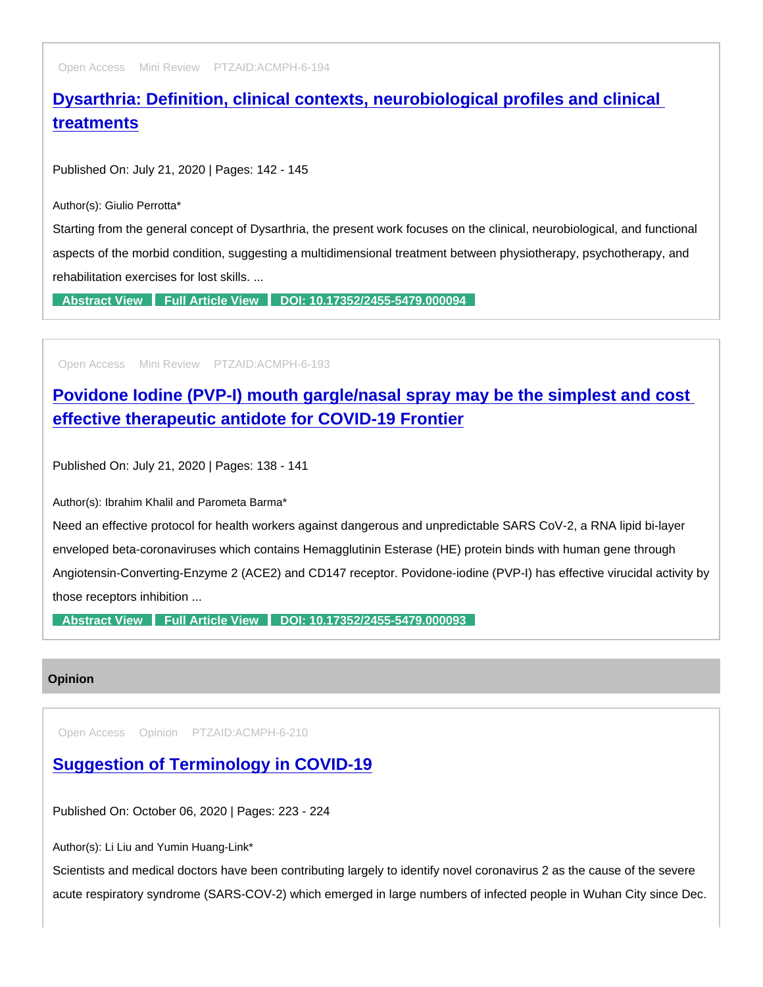Open Access Mini Review PTZAID:ACMPH-6-194

# [Dysarthria: Definition, clinical contexts, neurobiological profiles and clinical](https://www.peertechzpublications.com/articles/dysarthria-definition-clinical-contexts-neurobiological-profiles-and-clinical-treatments)  treatments

Published On: July 21, 2020 | Pages: 142 - 145

Author(s): Giulio Perrotta\*

Starting from the general concept of Dysarthria, the present work focuses on the clinical, neurobiological, and functional aspects of the morbid condition, suggesting a multidimensional treatment between physiotherapy, psychotherapy, and rehabilitation exercises for lost skills. ...

[Abstract View](https://www.peertechzpublications.com/abstracts/dysarthria-definition-clinical-contexts-neurobiological-profiles-and-clinical-treatments) [Full Article View](https://www.peertechzpublications.com/articles/dysarthria-definition-clinical-contexts-neurobiological-profiles-and-clinical-treatments) [DOI: 10.17352/2455-5479.000094](http://dx.doi.org/10.17352/2455-5479.000094)

Open Access Mini Review PTZAID:ACMPH-6-193

[Povidone Iodine \(PVP-I\) mouth gargle/nasal spray may be the simplest and cost](https://www.peertechzpublications.com/articles/povidone-iodine-pvp-i-mouth-gargle-nasal-spray-may-be-the-simplest-and-cost-effective-therapeutic-antidote-for-covid-19-frontier)  effective therapeutic antidote for COVID-19 Frontier

Published On: July 21, 2020 | Pages: 138 - 141

Author(s): Ibrahim Khalil and Parometa Barma\*

Need an effective protocol for health workers against dangerous and unpredictable SARS CoV-2, a RNA lipid bi-layer enveloped beta-coronaviruses which contains Hemagglutinin Esterase (HE) protein binds with human gene through Angiotensin-Converting-Enzyme 2 (ACE2) and CD147 receptor. Povidone-iodine (PVP-I) has effective virucidal activity by those receptors inhibition ...

[Abstract View](https://www.peertechzpublications.com/abstracts/povidone-iodine-pvp-i-mouth-gargle-nasal-spray-may-be-the-simplest-and-cost-effective-therapeutic-antidote-for-covid-19-frontier) [Full Article View](https://www.peertechzpublications.com/articles/povidone-iodine-pvp-i-mouth-gargle-nasal-spray-may-be-the-simplest-and-cost-effective-therapeutic-antidote-for-covid-19-frontier) [DOI: 10.17352/2455-5479.000093](http://dx.doi.org/10.17352/2455-5479.000093)

**Opinion** 

Open Access Opinion PTZAID:ACMPH-6-210

[Suggestion of Terminology in COVID-19](https://www.peertechzpublications.com/articles/suggestion-of-terminology-in-covid-19)

Published On: October 06, 2020 | Pages: 223 - 224

Author(s): Li Liu and Yumin Huang-Link\*

Scientists and medical doctors have been contributing largely to identify novel coronavirus 2 as the cause of the severe acute respiratory syndrome (SARS-COV-2) which emerged in large numbers of infected people in Wuhan City since Dec.